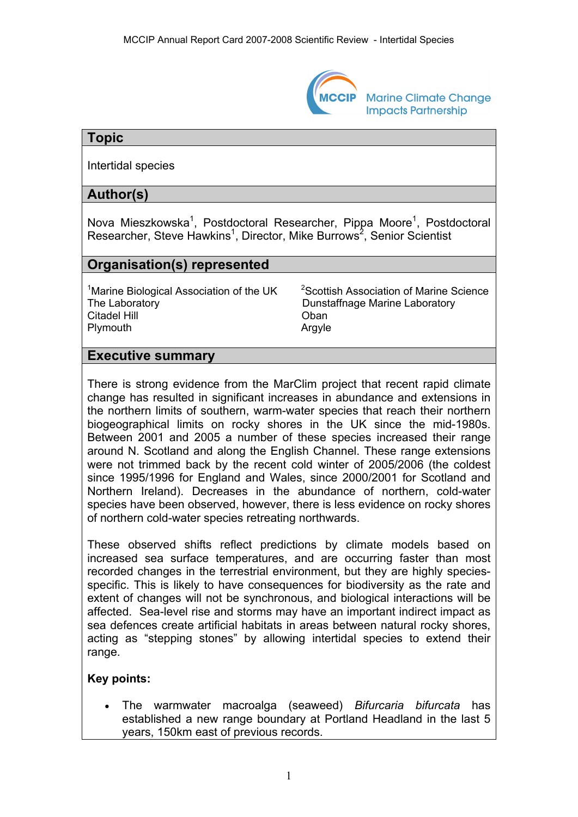

**Marine Climate Change Impacts Partnership** 

# **Topic**

Intertidal species

# **Author(s)**

Nova Mieszkowska<sup>1</sup>, Postdoctoral Researcher, Pippa Moore<sup>1</sup>, Postdoctoral Researcher, Steve Hawkins<sup>1</sup>, Director, Mike Burrows<sup>2</sup>, Senior Scientist

# **Organisation(s) represented**

<sup>1</sup>Marine Biological Association of the UK  $2^2$ The Laboratory **Dunstaffnage Marine Laboratory** Citadel Hill Oban Plymouth **Argyle** 

<sup>2</sup>Scottish Association of Marine Science

# **Executive summary**

There is strong evidence from the MarClim project that recent rapid climate change has resulted in significant increases in abundance and extensions in the northern limits of southern, warm-water species that reach their northern biogeographical limits on rocky shores in the UK since the mid-1980s. Between 2001 and 2005 a number of these species increased their range around N. Scotland and along the English Channel. These range extensions were not trimmed back by the recent cold winter of 2005/2006 (the coldest since 1995/1996 for England and Wales, since 2000/2001 for Scotland and Northern Ireland). Decreases in the abundance of northern, cold-water species have been observed, however, there is less evidence on rocky shores of northern cold-water species retreating northwards.

These observed shifts reflect predictions by climate models based on increased sea surface temperatures, and are occurring faster than most recorded changes in the terrestrial environment, but they are highly speciesspecific. This is likely to have consequences for biodiversity as the rate and extent of changes will not be synchronous, and biological interactions will be affected. Sea-level rise and storms may have an important indirect impact as sea defences create artificial habitats in areas between natural rocky shores, acting as "stepping stones" by allowing intertidal species to extend their range.

## **Key points:**

• The warmwater macroalga (seaweed) *Bifurcaria bifurcata* has established a new range boundary at Portland Headland in the last 5 years, 150km east of previous records.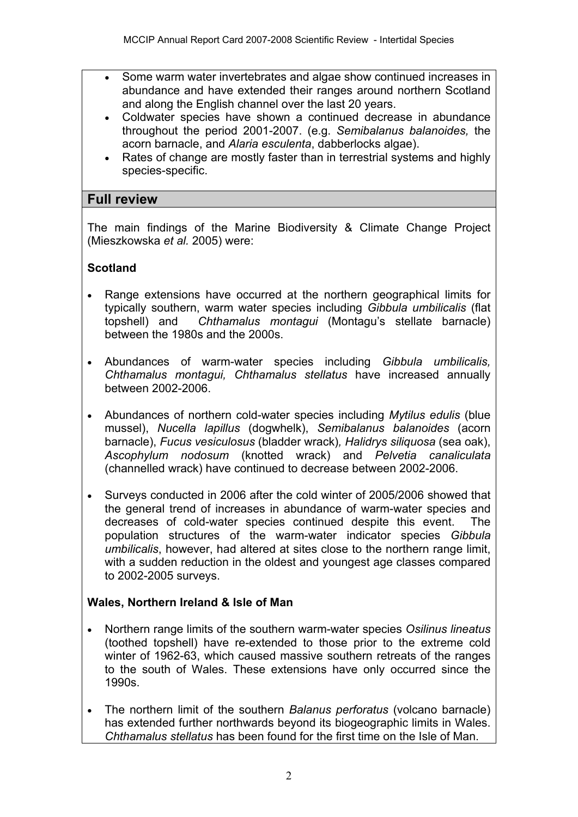- Some warm water invertebrates and algae show continued increases in abundance and have extended their ranges around northern Scotland and along the English channel over the last 20 years.
- Coldwater species have shown a continued decrease in abundance throughout the period 2001-2007. (e.g. *Semibalanus balanoides,* the acorn barnacle, and *Alaria esculenta*, dabberlocks algae).
- Rates of change are mostly faster than in terrestrial systems and highly species-specific.

## **Full review**

The main findings of the Marine Biodiversity & Climate Change Project (Mieszkowska *et al.* 2005) were:

# **Scotland**

- Range extensions have occurred at the northern geographical limits for typically southern, warm water species including *Gibbula umbilicalis* (flat topshell) and *Chthamalus montagui* (Montagu's stellate barnacle) between the 1980s and the 2000s.
- Abundances of warm-water species including *Gibbula umbilicalis, Chthamalus montagui, Chthamalus stellatus* have increased annually between 2002-2006.
- Abundances of northern cold-water species including *Mytilus edulis* (blue mussel), *Nucella lapillus* (dogwhelk), *Semibalanus balanoides* (acorn barnacle), *Fucus vesiculosus* (bladder wrack)*, Halidrys siliquosa* (sea oak), *Ascophylum nodosum* (knotted wrack) and *Pelvetia canaliculata*  (channelled wrack) have continued to decrease between 2002-2006.
- Surveys conducted in 2006 after the cold winter of 2005/2006 showed that the general trend of increases in abundance of warm-water species and decreases of cold-water species continued despite this event. The population structures of the warm-water indicator species *Gibbula umbilicalis*, however, had altered at sites close to the northern range limit, with a sudden reduction in the oldest and youngest age classes compared to 2002-2005 surveys.

## **Wales, Northern Ireland & Isle of Man**

- Northern range limits of the southern warm-water species *Osilinus lineatus* (toothed topshell) have re-extended to those prior to the extreme cold winter of 1962-63, which caused massive southern retreats of the ranges to the south of Wales. These extensions have only occurred since the 1990s.
- The northern limit of the southern *Balanus perforatus* (volcano barnacle) has extended further northwards beyond its biogeographic limits in Wales. *Chthamalus stellatus* has been found for the first time on the Isle of Man.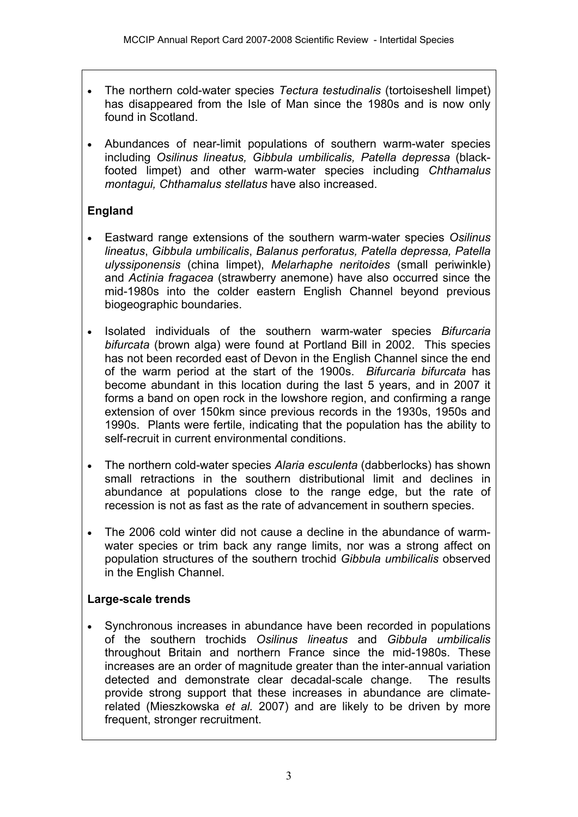- The northern cold-water species *Tectura testudinalis* (tortoiseshell limpet) has disappeared from the Isle of Man since the 1980s and is now only found in Scotland.
- Abundances of near-limit populations of southern warm-water species including *Osilinus lineatus, Gibbula umbilicalis, Patella depressa* (blackfooted limpet) and other warm-water species including *Chthamalus montagui, Chthamalus stellatus* have also increased.

# **England**

- Eastward range extensions of the southern warm-water species *Osilinus lineatus*, *Gibbula umbilicalis*, *Balanus perforatus, Patella depressa, Patella ulyssiponensis* (china limpet), *Melarhaphe neritoides* (small periwinkle) and *Actinia fragacea* (strawberry anemone) have also occurred since the mid-1980s into the colder eastern English Channel beyond previous biogeographic boundaries.
- Isolated individuals of the southern warm-water species *Bifurcaria bifurcata* (brown alga) were found at Portland Bill in 2002. This species has not been recorded east of Devon in the English Channel since the end of the warm period at the start of the 1900s. *Bifurcaria bifurcata* has become abundant in this location during the last 5 years, and in 2007 it forms a band on open rock in the lowshore region, and confirming a range extension of over 150km since previous records in the 1930s, 1950s and 1990s. Plants were fertile, indicating that the population has the ability to self-recruit in current environmental conditions.
- The northern cold-water species *Alaria esculenta* (dabberlocks) has shown small retractions in the southern distributional limit and declines in abundance at populations close to the range edge, but the rate of recession is not as fast as the rate of advancement in southern species.
- The 2006 cold winter did not cause a decline in the abundance of warmwater species or trim back any range limits, nor was a strong affect on population structures of the southern trochid *Gibbula umbilicalis* observed in the English Channel.

## **Large-scale trends**

• Synchronous increases in abundance have been recorded in populations of the southern trochids *Osilinus lineatus* and *Gibbula umbilicalis* throughout Britain and northern France since the mid-1980s. These increases are an order of magnitude greater than the inter-annual variation detected and demonstrate clear decadal-scale change. The results provide strong support that these increases in abundance are climaterelated (Mieszkowska *et al.* 2007) and are likely to be driven by more frequent, stronger recruitment.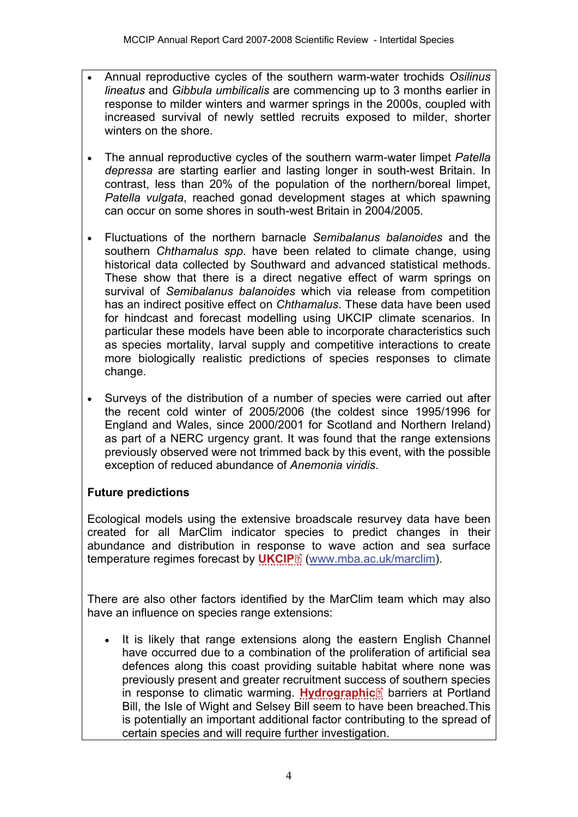- Annual reproductive cycles of the southern warm-water trochids *Osilinus lineatus* and *Gibbula umbilicalis* are commencing up to 3 months earlier in response to milder winters and warmer springs in the 2000s, coupled with increased survival of newly settled recruits exposed to milder, shorter winters on the shore.
- The annual reproductive cycles of the southern warm-water limpet *Patella depressa* are starting earlier and lasting longer in south-west Britain. In contrast, less than 20% of the population of the northern/boreal limpet, *Patella vulgata*, reached gonad development stages at which spawning can occur on some shores in south-west Britain in 2004/2005.
- Fluctuations of the northern barnacle *Semibalanus balanoides* and the southern *Chthamalus spp*. have been related to climate change, using historical data collected by Southward and advanced statistical methods. These show that there is a direct negative effect of warm springs on survival of *Semibalanus balanoides* which via release from competition has an indirect positive effect on *Chthamalus*. These data have been used for hindcast and forecast modelling using UKCIP climate scenarios. In particular these models have been able to incorporate characteristics such as species mortality, larval supply and competitive interactions to create more biologically realistic predictions of species responses to climate change.
- Surveys of the distribution of a number of species were carried out after the recent cold winter of 2005/2006 (the coldest since 1995/1996 for England and Wales, since 2000/2001 for Scotland and Northern Ireland) as part of a NERC urgency grant. It was found that the range extensions previously observed were not trimmed back by this event, with the possible exception of reduced abundance of *Anemonia viridis*.

## **Future predictions**

Ecological models using the extensive broadscale resurvey data have been created for all MarClim indicator species to predict changes in their abundance and distribution in respo[nse](http://www.mccip.org.uk/arc/2007/glossary.htm) to wave action and sea surface temperature regimes forecast by **[UKCIP](http://www.mccip.org.uk/arc/2007/glossary.htm#UKCIP)**<sup>2</sup> ([www.mba.ac.uk/marclim\)](http://www.mba.ac.uk/marclim).

There are also other factors identified by the MarClim team which may also have an influence on species range extensions:

It is likely that range extensions along the eastern English Channel have occurred due to a combination of the proliferation of artificial sea defences along this coast providing suitable habitat where none was previously present and greater recruitment success of southern species in response to climatic warming. [Hydrographic](http://www.mccip.org.uk/arc/2007/glossary.htm#Hydrographic)<sup>®</sup> barriers at Portland Bill, the Isle of Wight and Selsey Bill seem to have been breached.This is potentially an important additional factor contributing to the spread of certain species and will require further investigation.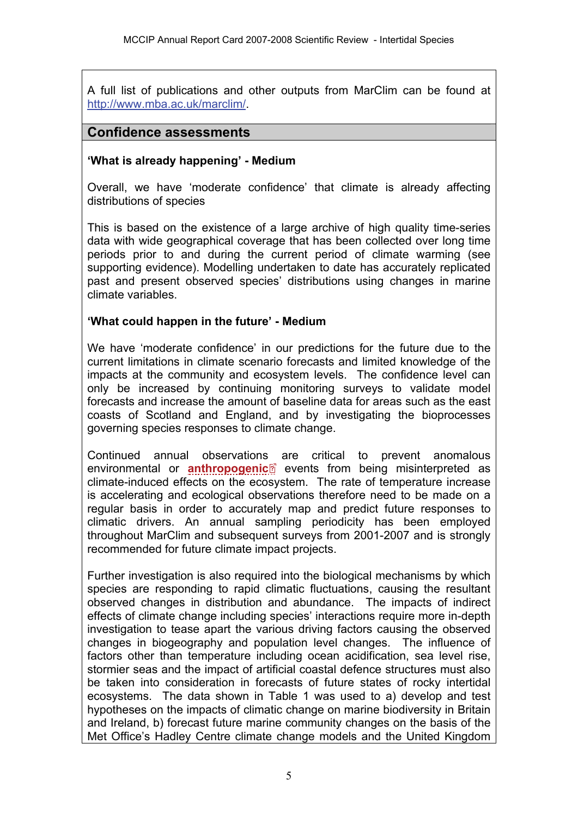A full list of publications and other outputs from MarClim can be found at [http://www.mba.ac.uk/marclim/](http://www.mba.ac.uk/marclim/marclim.php?sec=pub).

## **Confidence assessments**

#### **'What is already happening' - Medium**

Overall, we have 'moderate confidence' that climate is already affecting distributions of species

This is based on the existence of a large archive of high quality time-series data with wide geographical coverage that has been collected over long time periods prior to and during the current period of climate warming (see supporting evidence). Modelling undertaken to date has accurately replicated past and present observed species' distributions using changes in marine climate variables.

#### **'What could happen in the future' - Medium**

We have 'moderate confidence' in our predictions for the future due to the current limitations in climate scenario forecasts and limited knowledge of the impacts at the community and ecosystem levels. The confidence level can only be increased by continuing monitoring surveys to validate model forecasts and increase the amount of baseline data for areas such as the east coasts of Scotland and England, and by investigating the bioprocesses governing species responses to climate change.

Continued annual observation[s](http://www.mccip.org.uk/arc/2007/glossary.htm) are critical to prevent anomalous environmental or **[anthropogenic](http://www.mccip.org.uk/arc/2007/glossary.htm#Anthropogenic)**<sup>2</sup> events from being misinterpreted as climate-induced effects on the ecosystem. The rate of temperature increase is accelerating and ecological observations therefore need to be made on a regular basis in order to accurately map and predict future responses to climatic drivers. An annual sampling periodicity has been employed throughout MarClim and subsequent surveys from 2001-2007 and is strongly recommended for future climate impact projects.

Further investigation is also required into the biological mechanisms by which species are responding to rapid climatic fluctuations, causing the resultant observed changes in distribution and abundance. The impacts of indirect effects of climate change including species' interactions require more in-depth investigation to tease apart the various driving factors causing the observed changes in biogeography and population level changes. The influence of factors other than temperature including ocean acidification, sea level rise, stormier seas and the impact of artificial coastal defence structures must also be taken into consideration in forecasts of future states of rocky intertidal ecosystems.The data shown in Table 1 was used to a) develop and test hypotheses on the impacts of climatic change on marine biodiversity in Britain and Ireland, b) forecast future marine community changes on the basis of the Met Office's Hadley Centre climate change models and the United Kingdom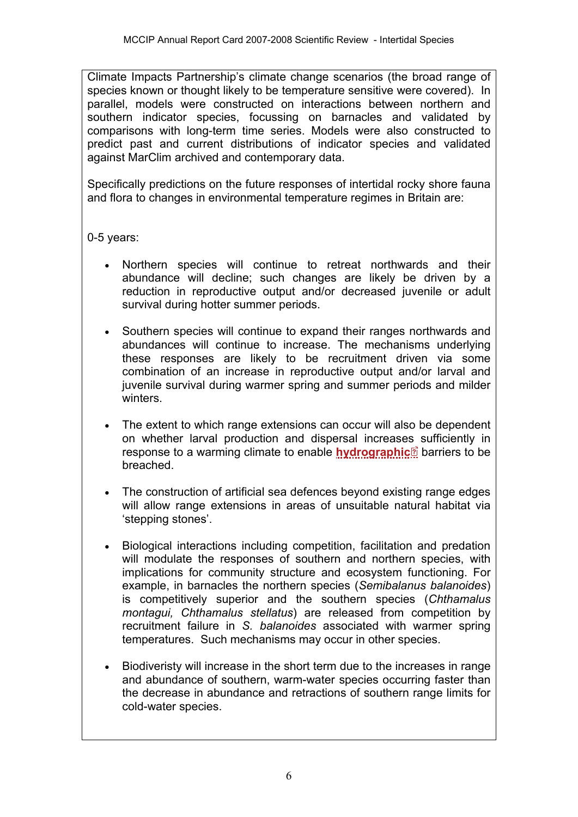Climate Impacts Partnership's climate change scenarios (the broad range of species known or thought likely to be temperature sensitive were covered). In parallel, models were constructed on interactions between northern and southern indicator species, focussing on barnacles and validated by comparisons with long-term time series. Models were also constructed to predict past and current distributions of indicator species and validated against MarClim archived and contemporary data.

Specifically predictions on the future responses of intertidal rocky shore fauna and flora to changes in environmental temperature regimes in Britain are:

## 0-5 years:

- Northern species will continue to retreat northwards and their abundance will decline; such changes are likely be driven by a reduction in reproductive output and/or decreased juvenile or adult survival during hotter summer periods.
- Southern species will continue to expand their ranges northwards and abundances will continue to increase. The mechanisms underlying these responses are likely to be recruitment driven via some combination of an increase in reproductive output and/or larval and juvenile survival during warmer spring and summer periods and milder winters.
- The extent to which range extensions can occur will also be dependent on whether larval production and dispersal increases sufficiently in response to a warming climate to enable **[hydrographic](http://www.mccip.org.uk/arc/2007/glossary.htm#Hydrographic)**<sup>®</sup> barriers to be breached.
- The construction of artificial sea defences beyond existing range edges will allow range extensions in areas of unsuitable natural habitat via 'stepping stones'.
- Biological interactions including competition, facilitation and predation will modulate the responses of southern and northern species, with implications for community structure and ecosystem functioning. For example, in barnacles the northern species (*Semibalanus balanoides*) is competitively superior and the southern species (*Chthamalus montagui, Chthamalus stellatus*) are released from competition by recruitment failure in *S. balanoides* associated with warmer spring temperatures. Such mechanisms may occur in other species.
- Biodiveristy will increase in the short term due to the increases in range and abundance of southern, warm-water species occurring faster than the decrease in abundance and retractions of southern range limits for cold-water species.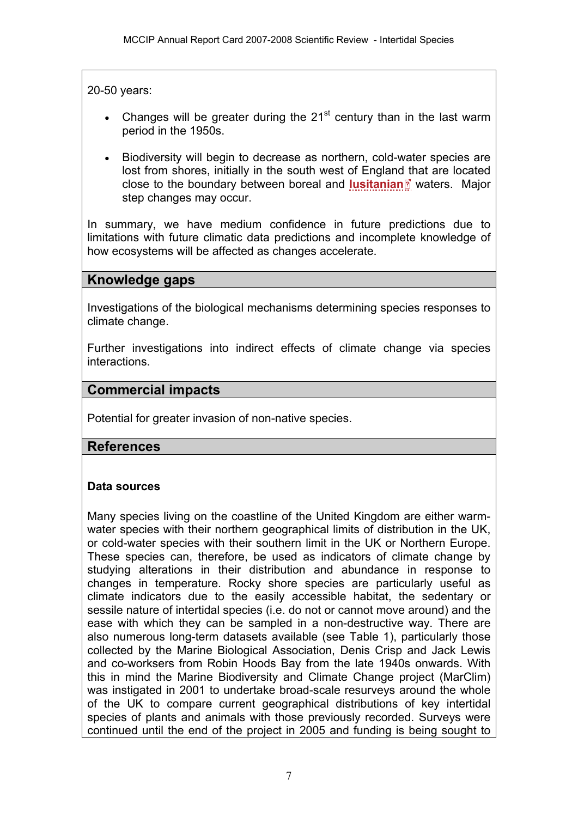20-50 years:

- Changes will be greater during the  $21<sup>st</sup>$  century than in the last warm period in the 1950s.
- Biodiversity will begin to decrease as northern, cold-water species are lost from shores, initially in the south west of Englan[d th](http://www.mccip.org.uk/arc/2007/glossary.htm)at are located close to the boundary between boreal and **[lusitanian](http://www.mccip.org.uk/arc/2007/glossary.htm#Lusitanian)** waters. Major step changes may occur.

In summary, we have medium confidence in future predictions due to limitations with future climatic data predictions and incomplete knowledge of how ecosystems will be affected as changes accelerate.

# **Knowledge gaps**

Investigations of the biological mechanisms determining species responses to climate change.

Further investigations into indirect effects of climate change via species interactions.

# **Commercial impacts**

Potential for greater invasion of non-native species.

## **References**

#### **Data sources**

Many species living on the coastline of the United Kingdom are either warmwater species with their northern geographical limits of distribution in the UK, or cold-water species with their southern limit in the UK or Northern Europe. These species can, therefore, be used as indicators of climate change by studying alterations in their distribution and abundance in response to changes in temperature. Rocky shore species are particularly useful as climate indicators due to the easily accessible habitat, the sedentary or sessile nature of intertidal species (i.e. do not or cannot move around) and the ease with which they can be sampled in a non-destructive way. There are also numerous long-term datasets available (see Table 1), particularly those collected by the Marine Biological Association, Denis Crisp and Jack Lewis and co-worksers from Robin Hoods Bay from the late 1940s onwards. With this in mind the Marine Biodiversity and Climate Change project (MarClim) was instigated in 2001 to undertake broad-scale resurveys around the whole of the UK to compare current geographical distributions of key intertidal species of plants and animals with those previously recorded. Surveys were continued until the end of the project in 2005 and funding is being sought to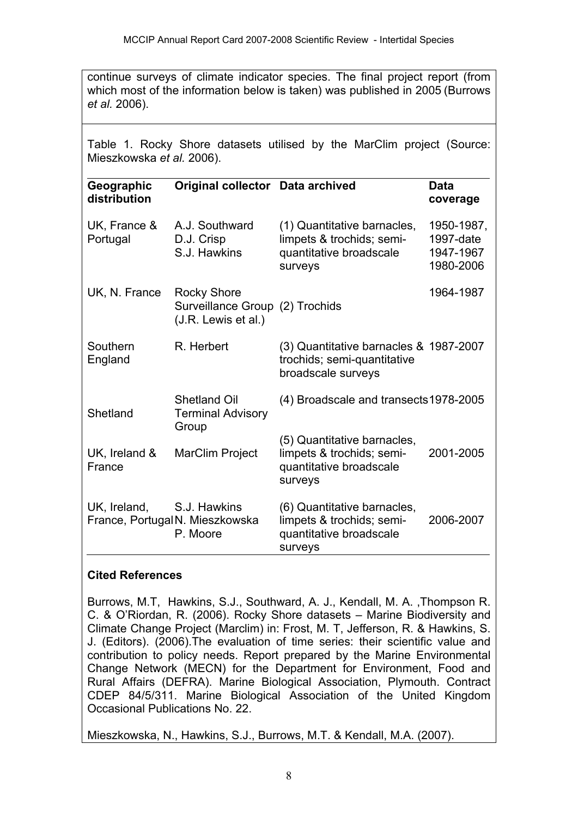continue surveys of climate indicator species. The final project report (from which most of the information below is taken) was published in 2005 (Burrows *et al.* 2006).

Table 1. Rocky Shore datasets utilised by the MarClim project (Source: Mieszkowska *et al.* 2006).

| Geographic<br>distribution | Original collector Data archived                                             |                                                                                                | <b>Data</b><br>coverage                           |
|----------------------------|------------------------------------------------------------------------------|------------------------------------------------------------------------------------------------|---------------------------------------------------|
| UK, France &<br>Portugal   | A.J. Southward<br>D.J. Crisp<br>S.J. Hawkins                                 | (1) Quantitative barnacles,<br>limpets & trochids; semi-<br>quantitative broadscale<br>surveys | 1950-1987,<br>1997-date<br>1947-1967<br>1980-2006 |
| UK, N. France              | <b>Rocky Shore</b><br>Surveillance Group (2) Trochids<br>(J.R. Lewis et al.) |                                                                                                | 1964-1987                                         |
| Southern<br>England        | R. Herbert                                                                   | (3) Quantitative barnacles & 1987-2007<br>trochids; semi-quantitative<br>broadscale surveys    |                                                   |
| Shetland                   | <b>Shetland Oil</b><br><b>Terminal Advisory</b><br>Group                     | (4) Broadscale and transects 1978-2005                                                         |                                                   |
| UK, Ireland &<br>France    | <b>MarClim Project</b>                                                       | (5) Quantitative barnacles,<br>limpets & trochids; semi-<br>quantitative broadscale<br>surveys | 2001-2005                                         |
| UK, Ireland,               | S.J. Hawkins<br>France, PortugalN. Mieszkowska<br>P. Moore                   | (6) Quantitative barnacles,<br>limpets & trochids; semi-<br>quantitative broadscale<br>surveys | 2006-2007                                         |

## **Cited References**

Burrows, M.T, Hawkins, S.J., Southward, A. J., Kendall, M. A. ,Thompson R. C. & O'Riordan, R. (2006). Rocky Shore datasets – Marine Biodiversity and Climate Change Project (Marclim) in: Frost, M. T, Jefferson, R. & Hawkins, S. J. (Editors). (2006).The evaluation of time series: their scientific value and contribution to policy needs. Report prepared by the Marine Environmental Change Network (MECN) for the Department for Environment, Food and Rural Affairs (DEFRA). Marine Biological Association, Plymouth. Contract CDEP 84/5/311. Marine Biological Association of the United Kingdom Occasional Publications No. 22.

Mieszkowska, N., Hawkins, S.J., Burrows, M.T. & Kendall, M.A. (2007).